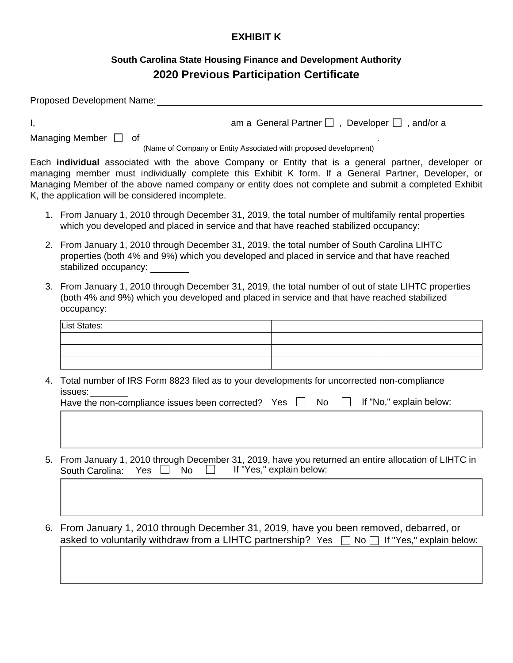## **EXHIBIT K**

## **South Carolina State Housing Finance and Development Authority 2020 Previous Participation Certificate**

| Proposed Development Name: Name: Name of the Second Second Second Second Second Second Second Second Second Second Second Second Second Second Second Second Second Second Second Second Second Second Second Second Second Se                                                                                                                                                  |                                                                                                                                                                                                                            |                                                             |                 |                          |  |  |  |  |  |
|---------------------------------------------------------------------------------------------------------------------------------------------------------------------------------------------------------------------------------------------------------------------------------------------------------------------------------------------------------------------------------|----------------------------------------------------------------------------------------------------------------------------------------------------------------------------------------------------------------------------|-------------------------------------------------------------|-----------------|--------------------------|--|--|--|--|--|
|                                                                                                                                                                                                                                                                                                                                                                                 |                                                                                                                                                                                                                            |                                                             |                 |                          |  |  |  |  |  |
|                                                                                                                                                                                                                                                                                                                                                                                 | Managing Member and of<br>(Name of Company or Entity Associated with proposed development)                                                                                                                                 |                                                             |                 |                          |  |  |  |  |  |
| Each <b>individual</b> associated with the above Company or Entity that is a general partner, developer or<br>managing member must individually complete this Exhibit K form. If a General Partner, Developer, or<br>Managing Member of the above named company or entity does not complete and submit a completed Exhibit<br>K, the application will be considered incomplete. |                                                                                                                                                                                                                            |                                                             |                 |                          |  |  |  |  |  |
|                                                                                                                                                                                                                                                                                                                                                                                 | 1. From January 1, 2010 through December 31, 2019, the total number of multifamily rental properties<br>which you developed and placed in service and that have reached stabilized occupancy:                              |                                                             |                 |                          |  |  |  |  |  |
|                                                                                                                                                                                                                                                                                                                                                                                 | 2. From January 1, 2010 through December 31, 2019, the total number of South Carolina LIHTC<br>properties (both 4% and 9%) which you developed and placed in service and that have reached<br>stabilized occupancy:        |                                                             |                 |                          |  |  |  |  |  |
|                                                                                                                                                                                                                                                                                                                                                                                 | 3. From January 1, 2010 through December 31, 2019, the total number of out of state LIHTC properties<br>(both 4% and 9%) which you developed and placed in service and that have reached stabilized<br>occupancy: ________ |                                                             |                 |                          |  |  |  |  |  |
|                                                                                                                                                                                                                                                                                                                                                                                 | List States:                                                                                                                                                                                                               |                                                             |                 |                          |  |  |  |  |  |
|                                                                                                                                                                                                                                                                                                                                                                                 |                                                                                                                                                                                                                            |                                                             |                 |                          |  |  |  |  |  |
|                                                                                                                                                                                                                                                                                                                                                                                 |                                                                                                                                                                                                                            |                                                             |                 |                          |  |  |  |  |  |
|                                                                                                                                                                                                                                                                                                                                                                                 | 4. Total number of IRS Form 8823 filed as to your developments for uncorrected non-compliance<br>issues:                                                                                                                   |                                                             |                 |                          |  |  |  |  |  |
|                                                                                                                                                                                                                                                                                                                                                                                 | If "No," explain below:<br>Have the non-compliance issues been corrected? Yes $\Box$ No                                                                                                                                    |                                                             |                 |                          |  |  |  |  |  |
|                                                                                                                                                                                                                                                                                                                                                                                 |                                                                                                                                                                                                                            |                                                             |                 |                          |  |  |  |  |  |
| 5.                                                                                                                                                                                                                                                                                                                                                                              | From January 1, 2010 through December 31, 2019, have you returned an entire allocation of LIHTC in<br>If "Yes," explain below:<br>South Carolina:<br>Yes<br>No                                                             |                                                             |                 |                          |  |  |  |  |  |
|                                                                                                                                                                                                                                                                                                                                                                                 |                                                                                                                                                                                                                            |                                                             |                 |                          |  |  |  |  |  |
| 6.                                                                                                                                                                                                                                                                                                                                                                              | From January 1, 2010 through December 31, 2019, have you been removed, debarred, or                                                                                                                                        | asked to voluntarily withdraw from a LIHTC partnership? Yes | No <sub>1</sub> | If "Yes," explain below: |  |  |  |  |  |
|                                                                                                                                                                                                                                                                                                                                                                                 |                                                                                                                                                                                                                            |                                                             |                 |                          |  |  |  |  |  |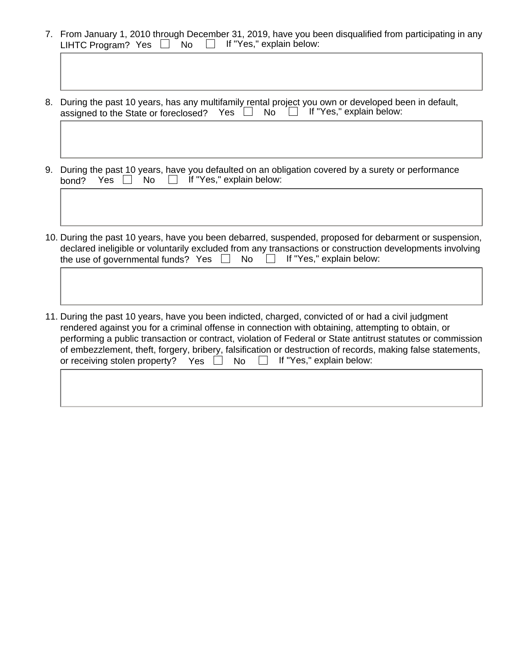- 7. From January 1, 2010 through December 31, 2019, have you been disqualified from participating in any LIHTC Program? Yes  $\Box$  No  $\Box$  If "Yes," explain below:
- 8. During the past 10 years, has any multifamily rental project you own or developed been in default, assigned to the State or foreclosed? Yes  $\Box$  No  $\Box$  If "Yes," explain below:
- 9. During the past 10 years, have you defaulted on an obligation covered by a surety or performance bond?  $Yes \Box \ No \Box \ If "Yes," explain below:$
- 10. During the past 10 years, have you been debarred, suspended, proposed for debarment or suspension, declared ineligible or voluntarily excluded from any transactions or construction developments involving the use of governmental funds? Yes  $\Box$  No  $\Box$  If "Yes," explain below:
- 11. During the past 10 years, have you been indicted, charged, convicted of or had a civil judgment rendered against you for a criminal offense in connection with obtaining, attempting to obtain, or performing a public transaction or contract, violation of Federal or State antitrust statutes or commission of embezzlement, theft, forgery, bribery, falsification or destruction of records, making false statements, or receiving stolen property? Yes  $No$  If "Yes," explain below: